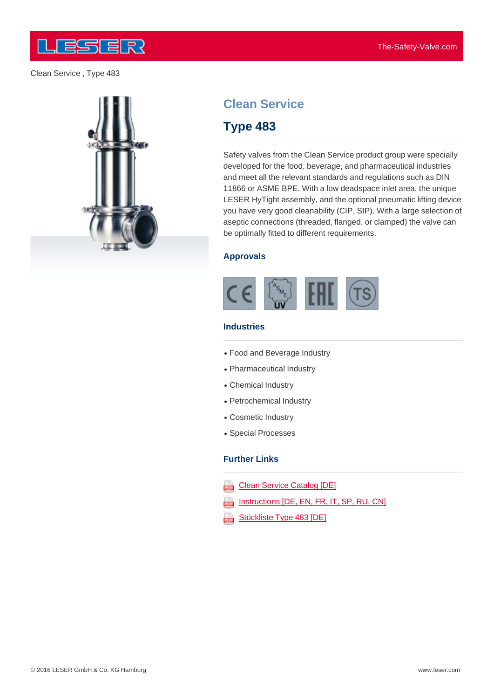



# **Clean Service**

# **Type 483**

Safety valves from the Clean Service product group were specially developed for the food, beverage, and pharmaceutical industries and meet all the relevant standards and regulations such as DIN 11866 or ASME BPE. With a low deadspace inlet area, the unique LESER HyTight assembly, and the optional pneumatic lifting device you have very good cleanability (CIP, SIP). With a large selection of aseptic connections (threaded, flanged, or clamped) the valve can be optimally fitted to different requirements.

### **Approvals**



### **Industries**

- Food and Beverage Industry
- Pharmaceutical Industry
- Chemical Industry
- Petrochemical Industry
- Cosmetic Industry
- Special Processes

#### **Further Links**

- Clean Service Catalog [DE] rana)<br>Fara
- Instructions [DE, EN, FR, IT, SP, RU, CN] ψ
- Stückliste Type 483 [DE] œ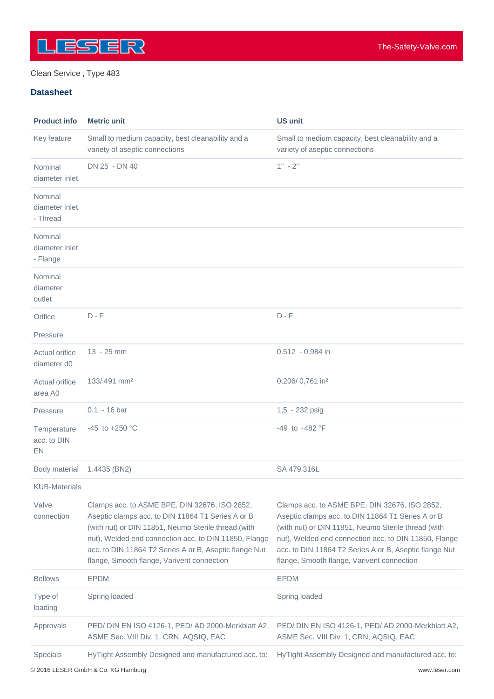

#### **Datasheet**

| <b>Product info</b>                   | <b>Metric unit</b>                                                                                                                                                                                                                                                                                                         | <b>US unit</b>                                                                                                                                                                                                                                                                                                             |
|---------------------------------------|----------------------------------------------------------------------------------------------------------------------------------------------------------------------------------------------------------------------------------------------------------------------------------------------------------------------------|----------------------------------------------------------------------------------------------------------------------------------------------------------------------------------------------------------------------------------------------------------------------------------------------------------------------------|
| Key feature                           | Small to medium capacity, best cleanability and a<br>variety of aseptic connections                                                                                                                                                                                                                                        | Small to medium capacity, best cleanability and a<br>variety of aseptic connections                                                                                                                                                                                                                                        |
| Nominal<br>diameter inlet             | DN 25 - DN 40                                                                                                                                                                                                                                                                                                              | $1" - 2"$                                                                                                                                                                                                                                                                                                                  |
| Nominal<br>diameter inlet<br>- Thread |                                                                                                                                                                                                                                                                                                                            |                                                                                                                                                                                                                                                                                                                            |
| Nominal<br>diameter inlet<br>- Flange |                                                                                                                                                                                                                                                                                                                            |                                                                                                                                                                                                                                                                                                                            |
| Nominal<br>diameter<br>outlet         |                                                                                                                                                                                                                                                                                                                            |                                                                                                                                                                                                                                                                                                                            |
| Orifice                               | $D - F$                                                                                                                                                                                                                                                                                                                    | $D - F$                                                                                                                                                                                                                                                                                                                    |
| Pressure                              |                                                                                                                                                                                                                                                                                                                            |                                                                                                                                                                                                                                                                                                                            |
| Actual orifice<br>diameter d0         | $13 - 25$ mm                                                                                                                                                                                                                                                                                                               | $0.512 - 0.984$ in                                                                                                                                                                                                                                                                                                         |
| Actual orifice<br>area A0             | 133/491 mm <sup>2</sup>                                                                                                                                                                                                                                                                                                    | 0,206/0,761 in <sup>2</sup>                                                                                                                                                                                                                                                                                                |
| Pressure                              | $0,1 - 16$ bar                                                                                                                                                                                                                                                                                                             | 1,5 - 232 psig                                                                                                                                                                                                                                                                                                             |
| Temperature<br>acc. to DIN<br>EN      | -45 to +250 $^{\circ}$ C                                                                                                                                                                                                                                                                                                   | $-49$ to $+482$ °F                                                                                                                                                                                                                                                                                                         |
| Body material                         | 1.4435 (BN2)                                                                                                                                                                                                                                                                                                               | SA 479 316L                                                                                                                                                                                                                                                                                                                |
| <b>KUB-Materials</b>                  |                                                                                                                                                                                                                                                                                                                            |                                                                                                                                                                                                                                                                                                                            |
| Valve<br>connection                   | Clamps acc. to ASME BPE, DIN 32676, ISO 2852,<br>Aseptic clamps acc. to DIN 11864 T1 Series A or B<br>(with nut) or DIN 11851, Neumo Sterile thread (with<br>nut), Welded end connection acc. to DIN 11850, Flange<br>acc. to DIN 11864 T2 Series A or B, Aseptic flange Nut<br>flange, Smooth flange, Varivent connection | Clamps acc. to ASME BPE, DIN 32676, ISO 2852,<br>Aseptic clamps acc. to DIN 11864 T1 Series A or B<br>(with nut) or DIN 11851, Neumo Sterile thread (with<br>nut), Welded end connection acc. to DIN 11850, Flange<br>acc. to DIN 11864 T2 Series A or B, Aseptic flange Nut<br>flange, Smooth flange, Varivent connection |
| <b>Bellows</b>                        | <b>EPDM</b>                                                                                                                                                                                                                                                                                                                | <b>EPDM</b>                                                                                                                                                                                                                                                                                                                |
| Type of<br>loading                    | Spring loaded                                                                                                                                                                                                                                                                                                              | Spring loaded                                                                                                                                                                                                                                                                                                              |
| Approvals                             | PED/ DIN EN ISO 4126-1, PED/ AD 2000-Merkblatt A2,<br>ASME Sec. VIII Div. 1, CRN, AQSIQ, EAC                                                                                                                                                                                                                               | PED/ DIN EN ISO 4126-1, PED/ AD 2000-Merkblatt A2,<br>ASME Sec. VIII Div. 1, CRN, AQSIQ, EAC                                                                                                                                                                                                                               |
| Specials                              | HyTight Assembly Designed and manufactured acc. to:                                                                                                                                                                                                                                                                        | HyTight Assembly Designed and manufactured acc. to:                                                                                                                                                                                                                                                                        |

© 2016 LESER GmbH & Co. KG Hamburg www.leser.com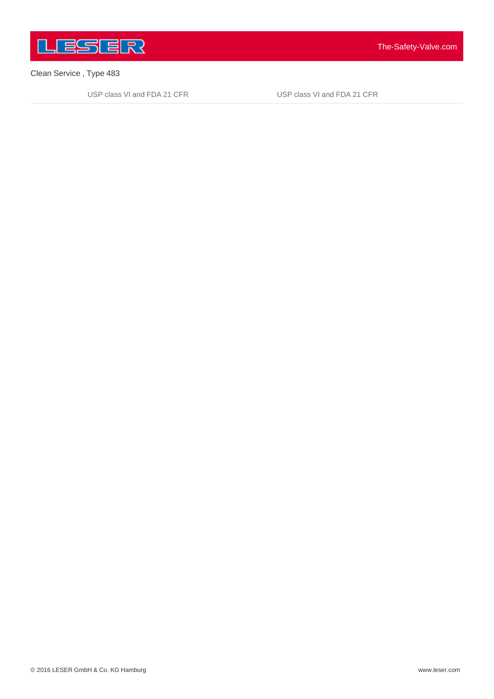

USP class VI and FDA 21 CFR

USP class VI and FDA 21 CFR